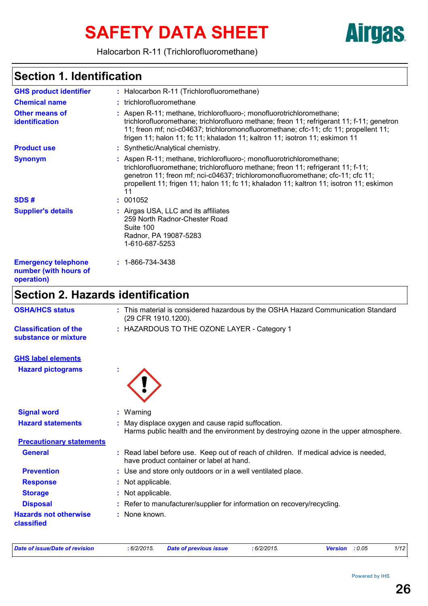# SAFETY DATA SHEET **Airgas**

Halocarbon R-11 (Trichlorofluoromethane)

### **Section 1. Identification**

| <b>GHS product identifier</b>                                     | : Halocarbon R-11 (Trichlorofluoromethane)                                                                                                                                                                                                                                                                                                  |
|-------------------------------------------------------------------|---------------------------------------------------------------------------------------------------------------------------------------------------------------------------------------------------------------------------------------------------------------------------------------------------------------------------------------------|
| <b>Chemical name</b>                                              | : trichlorofluoromethane                                                                                                                                                                                                                                                                                                                    |
| <b>Other means of</b><br>identification                           | : Aspen R-11; methane, trichlorofluoro-; monofluorotrichloromethane;<br>trichlorofluoromethane; trichlorofluoro methane; freon 11; refrigerant 11; f-11; genetron<br>11; freon mf; nci-c04637; trichloromonofluoromethane; cfc-11; cfc 11; propellent 11;<br>frigen 11; halon 11; fc 11; khaladon 11; kaltron 11; isotron 11; eskimon 11    |
| <b>Product use</b>                                                | Synthetic/Analytical chemistry.                                                                                                                                                                                                                                                                                                             |
| <b>Synonym</b>                                                    | : Aspen R-11; methane, trichlorofluoro-; monofluorotrichloromethane;<br>trichlorofluoromethane; trichlorofluoro methane; freon 11; refrigerant 11; f-11;<br>genetron 11; freon mf; nci-c04637; trichloromonofluoromethane; cfc-11; cfc 11;<br>propellent 11; frigen 11; halon 11; fc 11; khaladon 11; kaltron 11; isotron 11; eskimon<br>11 |
| SDS#                                                              | 001052                                                                                                                                                                                                                                                                                                                                      |
| <b>Supplier's details</b>                                         | : Airgas USA, LLC and its affiliates<br>259 North Radnor-Chester Road<br>Suite 100<br>Radnor, PA 19087-5283<br>1-610-687-5253                                                                                                                                                                                                               |
| <b>Emergency telephone</b><br>number (with hours of<br>operation) | $: 1 - 866 - 734 - 3438$                                                                                                                                                                                                                                                                                                                    |
| <b>Section 2. Hazards identification</b>                          |                                                                                                                                                                                                                                                                                                                                             |
| <b>OSHA/HCS status</b>                                            | : This material is considered hazardous by the OSHA Hazard Communication Standard<br>(29 CFR 1910.1200).                                                                                                                                                                                                                                    |
| <b>Classification of the</b><br>substance or mixture              | : HAZARDOUS TO THE OZONE LAYER - Category 1                                                                                                                                                                                                                                                                                                 |
| <b>GHS label elements</b>                                         |                                                                                                                                                                                                                                                                                                                                             |
| <b>Hazard pictograms</b>                                          |                                                                                                                                                                                                                                                                                                                                             |
| <b>Signal word</b>                                                | $:$ Warning                                                                                                                                                                                                                                                                                                                                 |
| <b>Hazard statements</b>                                          | : May displace oxygen and cause rapid suffocation.<br>Harms public health and the environment by destroying ozone in the upper atmosphere.                                                                                                                                                                                                  |
| <b>Precautionary statements</b>                                   |                                                                                                                                                                                                                                                                                                                                             |
| <b>General</b>                                                    | : Read label before use. Keep out of reach of children. If medical advice is needed,<br>have product container or label at hand.                                                                                                                                                                                                            |
| <b>Prevention</b>                                                 | : Use and store only outdoors or in a well ventilated place.                                                                                                                                                                                                                                                                                |
| <b>Response</b>                                                   | : Not applicable.                                                                                                                                                                                                                                                                                                                           |
| <b>Storage</b>                                                    | Not applicable.                                                                                                                                                                                                                                                                                                                             |
|                                                                   |                                                                                                                                                                                                                                                                                                                                             |
| <b>Disposal</b>                                                   | : Refer to manufacturer/supplier for information on recovery/recycling.                                                                                                                                                                                                                                                                     |

*Date of issue/Date of revision* **:** *6/2/2015. Date of previous issue : 6/2/2015. Version : 0.05 1/12*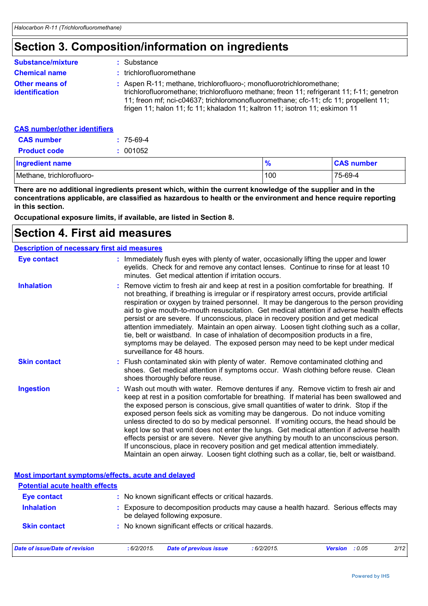### **Section 3. Composition/information on ingredients**

| <b>Substance/mixture</b>                       | : Substance                                                                                                                                                                                                                                                                                                                              |
|------------------------------------------------|------------------------------------------------------------------------------------------------------------------------------------------------------------------------------------------------------------------------------------------------------------------------------------------------------------------------------------------|
| <b>Chemical name</b>                           | : trichlorofluoromethane                                                                                                                                                                                                                                                                                                                 |
| <b>Other means of</b><br><b>identification</b> | : Aspen R-11; methane, trichlorofluoro-; monofluorotrichloromethane;<br>trichlorofluoromethane; trichlorofluoro methane; freon 11; refrigerant 11; f-11; genetron<br>11; freon mf; nci-c04637; trichloromonofluoromethane; cfc-11; cfc 11; propellent 11;<br>frigen 11; halon 11; fc 11; khaladon 11; kaltron 11; isotron 11; eskimon 11 |
| CAS numhar/other identifiers                   |                                                                                                                                                                                                                                                                                                                                          |

#### <u>S number/other identifiers </u>

| <b>CAS number</b>         | $: 75-69-4$ |               |                   |
|---------------------------|-------------|---------------|-------------------|
| <b>Product code</b>       | : 001052    |               |                   |
| Ingredient name           |             | $\frac{9}{6}$ | <b>CAS number</b> |
| Methane, trichlorofluoro- |             | 100           | 75-69-4           |

**There are no additional ingredients present which, within the current knowledge of the supplier and in the concentrations applicable, are classified as hazardous to health or the environment and hence require reporting in this section.**

**Occupational exposure limits, if available, are listed in Section 8.**

### **Section 4. First aid measures**

### **Description of necessary first aid measures**

| <b>Eye contact</b>                                 | : Immediately flush eyes with plenty of water, occasionally lifting the upper and lower<br>eyelids. Check for and remove any contact lenses. Continue to rinse for at least 10<br>minutes. Get medical attention if irritation occurs.                                                                                                                                                                                                                                                                                                                                                                                                                                                                                                                                                                                    |
|----------------------------------------------------|---------------------------------------------------------------------------------------------------------------------------------------------------------------------------------------------------------------------------------------------------------------------------------------------------------------------------------------------------------------------------------------------------------------------------------------------------------------------------------------------------------------------------------------------------------------------------------------------------------------------------------------------------------------------------------------------------------------------------------------------------------------------------------------------------------------------------|
| <b>Inhalation</b>                                  | : Remove victim to fresh air and keep at rest in a position comfortable for breathing. If<br>not breathing, if breathing is irregular or if respiratory arrest occurs, provide artificial<br>respiration or oxygen by trained personnel. It may be dangerous to the person providing<br>aid to give mouth-to-mouth resuscitation. Get medical attention if adverse health effects<br>persist or are severe. If unconscious, place in recovery position and get medical<br>attention immediately. Maintain an open airway. Loosen tight clothing such as a collar,<br>tie, belt or waistband. In case of inhalation of decomposition products in a fire,<br>symptoms may be delayed. The exposed person may need to be kept under medical<br>surveillance for 48 hours.                                                    |
| <b>Skin contact</b>                                | : Flush contaminated skin with plenty of water. Remove contaminated clothing and<br>shoes. Get medical attention if symptoms occur. Wash clothing before reuse. Clean<br>shoes thoroughly before reuse.                                                                                                                                                                                                                                                                                                                                                                                                                                                                                                                                                                                                                   |
| <b>Ingestion</b>                                   | : Wash out mouth with water. Remove dentures if any. Remove victim to fresh air and<br>keep at rest in a position comfortable for breathing. If material has been swallowed and<br>the exposed person is conscious, give small quantities of water to drink. Stop if the<br>exposed person feels sick as vomiting may be dangerous. Do not induce vomiting<br>unless directed to do so by medical personnel. If vomiting occurs, the head should be<br>kept low so that vomit does not enter the lungs. Get medical attention if adverse health<br>effects persist or are severe. Never give anything by mouth to an unconscious person.<br>If unconscious, place in recovery position and get medical attention immediately.<br>Maintain an open airway. Loosen tight clothing such as a collar, tie, belt or waistband. |
| Most important symptoms/effects, acute and delayed |                                                                                                                                                                                                                                                                                                                                                                                                                                                                                                                                                                                                                                                                                                                                                                                                                           |

| <b>Potential acute health effects</b> |             |                                                     |            |                                                                                   |      |
|---------------------------------------|-------------|-----------------------------------------------------|------------|-----------------------------------------------------------------------------------|------|
| <b>Eye contact</b>                    |             | : No known significant effects or critical hazards. |            |                                                                                   |      |
| <b>Inhalation</b>                     |             | be delayed following exposure.                      |            | Exposure to decomposition products may cause a health hazard. Serious effects may |      |
| <b>Skin contact</b>                   |             | : No known significant effects or critical hazards. |            |                                                                                   |      |
| Date of issue/Date of revision        | : 6/2/2015. | <b>Date of previous issue</b>                       | :6/2/2015. | <b>Version</b> : $0.05$                                                           | 2/12 |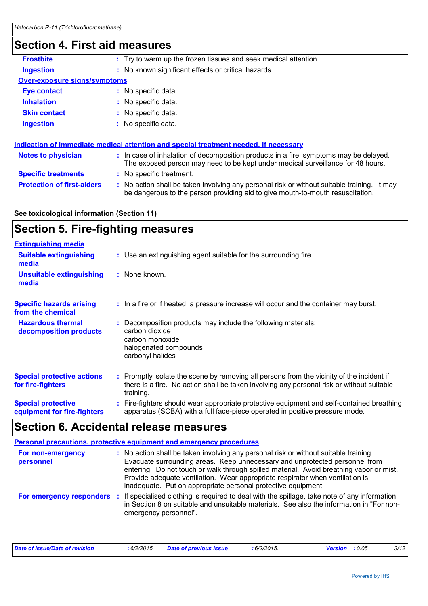### **Section 4. First aid measures**

| OGGHUN 7. LII 31 AIU MGASULGS       |                                                                                                                                                                               |
|-------------------------------------|-------------------------------------------------------------------------------------------------------------------------------------------------------------------------------|
| <b>Frostbite</b>                    | : Try to warm up the frozen tissues and seek medical attention.                                                                                                               |
| <b>Ingestion</b>                    | : No known significant effects or critical hazards.                                                                                                                           |
| <b>Over-exposure signs/symptoms</b> |                                                                                                                                                                               |
| <b>Eye contact</b>                  | : No specific data.                                                                                                                                                           |
| <b>Inhalation</b>                   | : No specific data.                                                                                                                                                           |
| <b>Skin contact</b>                 | : No specific data.                                                                                                                                                           |
| <b>Ingestion</b>                    | : No specific data.                                                                                                                                                           |
|                                     | Indication of immediate medical attention and special treatment needed, if necessary                                                                                          |
| <b>Notes to physician</b>           | : In case of inhalation of decomposition products in a fire, symptoms may be delayed.<br>The exposed person may need to be kept under medical surveillance for 48 hours.      |
| <b>Specific treatments</b>          | : No specific treatment.                                                                                                                                                      |
| <b>Protection of first-aiders</b>   | : No action shall be taken involving any personal risk or without suitable training. It may<br>be dangerous to the person providing aid to give mouth-to-mouth resuscitation. |
|                                     |                                                                                                                                                                               |

#### **See toxicological information (Section 11)**

### **Section 5. Fire-fighting measures**

| <b>Extinguishing media</b>                               |                                                                                                                                                                                                     |
|----------------------------------------------------------|-----------------------------------------------------------------------------------------------------------------------------------------------------------------------------------------------------|
| <b>Suitable extinguishing</b><br>media                   | : Use an extinguishing agent suitable for the surrounding fire.                                                                                                                                     |
| <b>Unsuitable extinguishing</b><br>media                 | : None known.                                                                                                                                                                                       |
| <b>Specific hazards arising</b><br>from the chemical     | : In a fire or if heated, a pressure increase will occur and the container may burst.                                                                                                               |
| <b>Hazardous thermal</b><br>decomposition products       | Decomposition products may include the following materials:<br>carbon dioxide<br>carbon monoxide<br>halogenated compounds<br>carbonyl halides                                                       |
| <b>Special protective actions</b><br>for fire-fighters   | : Promptly isolate the scene by removing all persons from the vicinity of the incident if<br>there is a fire. No action shall be taken involving any personal risk or without suitable<br>training. |
| <b>Special protective</b><br>equipment for fire-fighters | : Fire-fighters should wear appropriate protective equipment and self-contained breathing<br>apparatus (SCBA) with a full face-piece operated in positive pressure mode.                            |

# **Section 6. Accidental release measures**

|                                | Personal precautions, protective equipment and emergency procedures                                                                                                                                                                                                                                                                                                                                              |
|--------------------------------|------------------------------------------------------------------------------------------------------------------------------------------------------------------------------------------------------------------------------------------------------------------------------------------------------------------------------------------------------------------------------------------------------------------|
| For non-emergency<br>personnel | : No action shall be taken involving any personal risk or without suitable training.<br>Evacuate surrounding areas. Keep unnecessary and unprotected personnel from<br>entering. Do not touch or walk through spilled material. Avoid breathing vapor or mist.<br>Provide adequate ventilation. Wear appropriate respirator when ventilation is<br>inadequate. Put on appropriate personal protective equipment. |
| For emergency responders :     | If specialised clothing is required to deal with the spillage, take note of any information<br>in Section 8 on suitable and unsuitable materials. See also the information in "For non-<br>emergency personnel".                                                                                                                                                                                                 |

| Date of issue/Date of revision | : 6/2/2015. | <b>Date of previous issue</b> | $6/2/2015$ . | Version : 0.05 | 3/12 |
|--------------------------------|-------------|-------------------------------|--------------|----------------|------|
|                                |             |                               |              |                |      |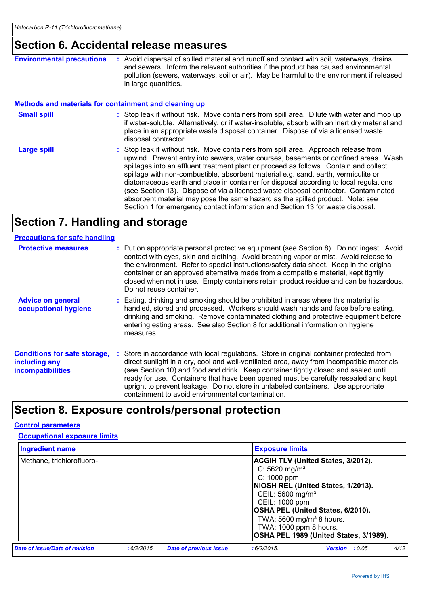### **Section 6. Accidental release measures**

**Environmental precautions :** Avoid dispersal of spilled material and runoff and contact with soil, waterways, drains and sewers. Inform the relevant authorities if the product has caused environmental pollution (sewers, waterways, soil or air). May be harmful to the environment if released in large quantities.

#### **Methods and materials for containment and cleaning up**

- Stop leak if without risk. Move containers from spill area. Dilute with water and mop up if water-soluble. Alternatively, or if water-insoluble, absorb with an inert dry material and place in an appropriate waste disposal container. Dispose of via a licensed waste disposal contractor. **Small spill :**
- Stop leak if without risk. Move containers from spill area. Approach release from upwind. Prevent entry into sewers, water courses, basements or confined areas. Wash spillages into an effluent treatment plant or proceed as follows. Contain and collect spillage with non-combustible, absorbent material e.g. sand, earth, vermiculite or diatomaceous earth and place in container for disposal according to local regulations (see Section 13). Dispose of via a licensed waste disposal contractor. Contaminated absorbent material may pose the same hazard as the spilled product. Note: see Section 1 for emergency contact information and Section 13 for waste disposal. **Large spill :**

### **Section 7. Handling and storage**

| <b>Precautions for safe handling</b>                                             |                                                                                                                                                                                                                                                                                                                                                                                                                                                                                                               |
|----------------------------------------------------------------------------------|---------------------------------------------------------------------------------------------------------------------------------------------------------------------------------------------------------------------------------------------------------------------------------------------------------------------------------------------------------------------------------------------------------------------------------------------------------------------------------------------------------------|
| <b>Protective measures</b>                                                       | : Put on appropriate personal protective equipment (see Section 8). Do not ingest. Avoid<br>contact with eyes, skin and clothing. Avoid breathing vapor or mist. Avoid release to<br>the environment. Refer to special instructions/safety data sheet. Keep in the original<br>container or an approved alternative made from a compatible material, kept tightly<br>closed when not in use. Empty containers retain product residue and can be hazardous.<br>Do not reuse container.                         |
| <b>Advice on general</b><br>occupational hygiene                                 | : Eating, drinking and smoking should be prohibited in areas where this material is<br>handled, stored and processed. Workers should wash hands and face before eating,<br>drinking and smoking. Remove contaminated clothing and protective equipment before<br>entering eating areas. See also Section 8 for additional information on hygiene<br>measures.                                                                                                                                                 |
| <b>Conditions for safe storage,</b><br>including any<br><b>incompatibilities</b> | : Store in accordance with local regulations. Store in original container protected from<br>direct sunlight in a dry, cool and well-ventilated area, away from incompatible materials<br>(see Section 10) and food and drink. Keep container tightly closed and sealed until<br>ready for use. Containers that have been opened must be carefully resealed and kept<br>upright to prevent leakage. Do not store in unlabeled containers. Use appropriate<br>containment to avoid environmental contamination. |

### **Section 8. Exposure controls/personal protection**

#### **Control parameters**

**Occupational exposure limits**

| <b>Ingredient name</b>                | <b>Exposure limits</b> |                               |                                                                                                                                                                  |                                                                                                                                                                |      |
|---------------------------------------|------------------------|-------------------------------|------------------------------------------------------------------------------------------------------------------------------------------------------------------|----------------------------------------------------------------------------------------------------------------------------------------------------------------|------|
| Methane, trichlorofluoro-             |                        |                               | $C: 5620$ mg/m <sup>3</sup><br>$C: 1000$ ppm<br>CEIL: 5600 mg/m <sup>3</sup><br>CEIL: 1000 ppm<br>TWA: 5600 mg/m <sup>3</sup> 8 hours.<br>TWA: 1000 ppm 8 hours. | <b>ACGIH TLV (United States, 3/2012).</b><br>NIOSH REL (United States, 1/2013).<br>OSHA PEL (United States, 6/2010).<br>OSHA PEL 1989 (United States, 3/1989). |      |
| <b>Date of issue/Date of revision</b> | :6/2/2015.             | <b>Date of previous issue</b> | :6/2/2015                                                                                                                                                        | <b>Version</b> : $0.05$                                                                                                                                        | 4/12 |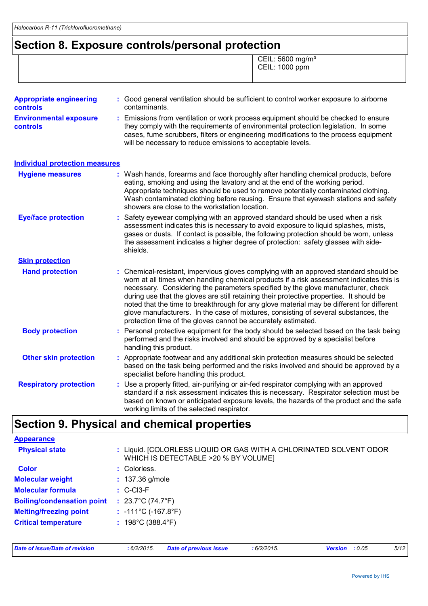### **Section 8. Exposure controls/personal protection**

 CEIL: 5600 mg/m³ CEIL: 1000 ppm

| : Good general ventilation should be sufficient to control worker exposure to airborne<br>contaminants.                                                                                                                                                                                                                                                                                                                                                                                                                                                                                                                |
|------------------------------------------------------------------------------------------------------------------------------------------------------------------------------------------------------------------------------------------------------------------------------------------------------------------------------------------------------------------------------------------------------------------------------------------------------------------------------------------------------------------------------------------------------------------------------------------------------------------------|
|                                                                                                                                                                                                                                                                                                                                                                                                                                                                                                                                                                                                                        |
| : Emissions from ventilation or work process equipment should be checked to ensure<br>they comply with the requirements of environmental protection legislation. In some<br>cases, fume scrubbers, filters or engineering modifications to the process equipment<br>will be necessary to reduce emissions to acceptable levels.                                                                                                                                                                                                                                                                                        |
|                                                                                                                                                                                                                                                                                                                                                                                                                                                                                                                                                                                                                        |
| : Wash hands, forearms and face thoroughly after handling chemical products, before<br>eating, smoking and using the lavatory and at the end of the working period.<br>Appropriate techniques should be used to remove potentially contaminated clothing.<br>Wash contaminated clothing before reusing. Ensure that eyewash stations and safety<br>showers are close to the workstation location.                                                                                                                                                                                                                      |
| Safety eyewear complying with an approved standard should be used when a risk<br>assessment indicates this is necessary to avoid exposure to liquid splashes, mists,<br>gases or dusts. If contact is possible, the following protection should be worn, unless<br>the assessment indicates a higher degree of protection: safety glasses with side-<br>shields.                                                                                                                                                                                                                                                       |
|                                                                                                                                                                                                                                                                                                                                                                                                                                                                                                                                                                                                                        |
| : Chemical-resistant, impervious gloves complying with an approved standard should be<br>worn at all times when handling chemical products if a risk assessment indicates this is<br>necessary. Considering the parameters specified by the glove manufacturer, check<br>during use that the gloves are still retaining their protective properties. It should be<br>noted that the time to breakthrough for any glove material may be different for different<br>glove manufacturers. In the case of mixtures, consisting of several substances, the<br>protection time of the gloves cannot be accurately estimated. |
| : Personal protective equipment for the body should be selected based on the task being<br>performed and the risks involved and should be approved by a specialist before<br>handling this product.                                                                                                                                                                                                                                                                                                                                                                                                                    |
| : Appropriate footwear and any additional skin protection measures should be selected<br>based on the task being performed and the risks involved and should be approved by a<br>specialist before handling this product.                                                                                                                                                                                                                                                                                                                                                                                              |
| : Use a properly fitted, air-purifying or air-fed respirator complying with an approved<br>standard if a risk assessment indicates this is necessary. Respirator selection must be<br>based on known or anticipated exposure levels, the hazards of the product and the safe<br>working limits of the selected respirator.                                                                                                                                                                                                                                                                                             |
| <b>Individual protection measures</b>                                                                                                                                                                                                                                                                                                                                                                                                                                                                                                                                                                                  |

# **Section 9. Physical and chemical properties**

| <b>Appearance</b>                 |                                                                                                            |
|-----------------------------------|------------------------------------------------------------------------------------------------------------|
| <b>Physical state</b>             | : Liquid. [COLORLESS LIQUID OR GAS WITH A CHLORINATED SOLVENT ODOR<br>WHICH IS DETECTABLE >20 % BY VOLUME] |
| <b>Color</b>                      | : Colorless.                                                                                               |
| <b>Molecular weight</b>           | $: 137.36$ g/mole                                                                                          |
| <b>Molecular formula</b>          | $\therefore$ C-Cl3-F                                                                                       |
| <b>Boiling/condensation point</b> | : $23.7^{\circ}$ C (74.7 $^{\circ}$ F)                                                                     |
| <b>Melting/freezing point</b>     | : $-111^{\circ}$ C ( $-167.8^{\circ}$ F)                                                                   |
| <b>Critical temperature</b>       | : $198^{\circ}$ C (388.4 $^{\circ}$ F)                                                                     |
|                                   |                                                                                                            |
|                                   |                                                                                                            |

*Date of issue/Date of revision* **:** *6/2/2015. Date of previous issue : 6/2/2015. Version : 0.05 5/12*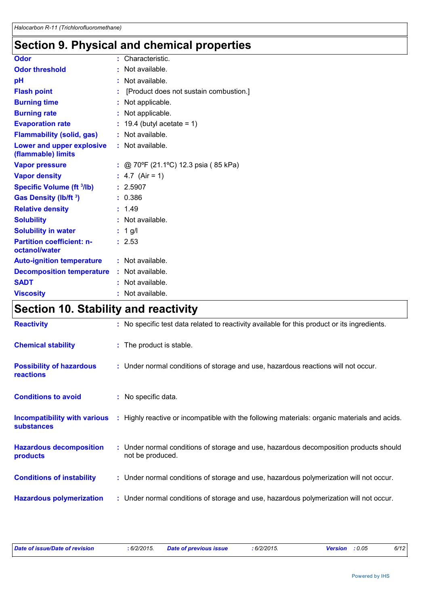# **Section 9. Physical and chemical properties**

| Odor                                                   | : Characteristic.                      |
|--------------------------------------------------------|----------------------------------------|
| <b>Odor threshold</b>                                  | Not available.                         |
| pH                                                     | : Not available.                       |
| <b>Flash point</b>                                     | [Product does not sustain combustion.] |
| <b>Burning time</b>                                    | : Not applicable.                      |
| <b>Burning rate</b>                                    | : Not applicable.                      |
| <b>Evaporation rate</b>                                | $: 19.4$ (butyl acetate = 1)           |
| <b>Flammability (solid, gas)</b>                       | : Not available.                       |
| <b>Lower and upper explosive</b><br>(flammable) limits | : Not available.                       |
| <b>Vapor pressure</b>                                  | : @ 70°F (21.1°C) 12.3 psia (85 kPa)   |
| <b>Vapor density</b>                                   | : $4.7$ (Air = 1)                      |
| Specific Volume (ft 3/lb)                              | : 2.5907                               |
| <b>Gas Density (Ib/ft 3)</b>                           | : 0.386                                |
| <b>Relative density</b>                                | : 1.49                                 |
| <b>Solubility</b>                                      | : Not available.                       |
| <b>Solubility in water</b>                             | $: 1$ g/l                              |
| <b>Partition coefficient: n-</b><br>octanol/water      | : 2.53                                 |
| <b>Auto-ignition temperature</b>                       | : Not available.                       |
| <b>Decomposition temperature</b>                       | : Not available.                       |
| <b>SADT</b>                                            | : Not available.                       |
| <b>Viscosity</b>                                       | : Not available.                       |
|                                                        |                                        |

# **Section 10. Stability and reactivity**

| <b>Reactivity</b>                                        | : No specific test data related to reactivity available for this product or its ingredients.              |
|----------------------------------------------------------|-----------------------------------------------------------------------------------------------------------|
| <b>Chemical stability</b>                                | : The product is stable.                                                                                  |
| <b>Possibility of hazardous</b><br><b>reactions</b>      | : Under normal conditions of storage and use, hazardous reactions will not occur.                         |
| <b>Conditions to avoid</b>                               | : No specific data.                                                                                       |
| <b>Incompatibility with various</b><br><b>substances</b> | : Highly reactive or incompatible with the following materials: organic materials and acids.              |
| <b>Hazardous decomposition</b><br>products               | : Under normal conditions of storage and use, hazardous decomposition products should<br>not be produced. |
| <b>Conditions of instability</b>                         | : Under normal conditions of storage and use, hazardous polymerization will not occur.                    |
| <b>Hazardous polymerization</b>                          | : Under normal conditions of storage and use, hazardous polymerization will not occur.                    |

| Date of issue/Date of revision | 6/2/2015 | <b>Date of previous issue</b> | $6/2/2015$ . | <b>Version</b> | : 0.05 | 6/12 |
|--------------------------------|----------|-------------------------------|--------------|----------------|--------|------|
|                                |          |                               |              |                |        |      |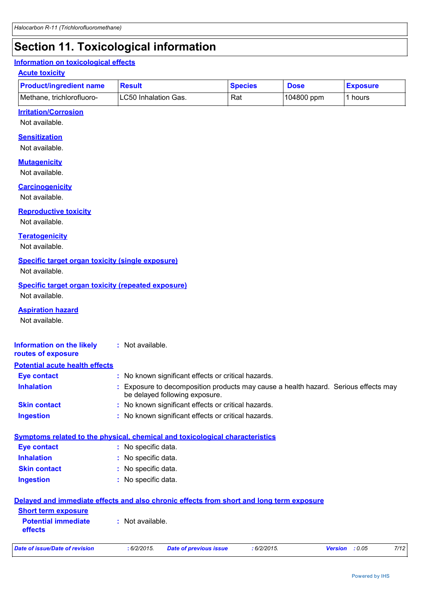# **Section 11. Toxicological information**

#### **Information on toxicological effects**

#### **Acute toxicity**

| <b>Product/ingredient name</b> | <b>Result</b>         | <b>Species</b> | <b>Dose</b> | <b>Exposure</b> |
|--------------------------------|-----------------------|----------------|-------------|-----------------|
| Methane, trichlorofluoro-      | ILC50 Inhalation Gas. | Rat            | 104800 ppm  | hours           |

### **Irritation/Corrosion**

Not available.

#### **Sensitization**

Not available.

#### **Mutagenicity**

Not available.

#### **Carcinogenicity**

Not available.

#### **Reproductive toxicity**

Not available.

#### **Teratogenicity**

Not available.

#### **Specific target organ toxicity (single exposure)**

Not available.

### **Specific target organ toxicity (repeated exposure)**

Not available.

#### **Aspiration hazard**

| Not available                                                       |                                                                                                                                                   |
|---------------------------------------------------------------------|---------------------------------------------------------------------------------------------------------------------------------------------------|
| Information on the likely<br>routes of exposure                     | : Not available.                                                                                                                                  |
| <b>Potential acute health effects</b>                               |                                                                                                                                                   |
| <b>Eye contact</b>                                                  | : No known significant effects or critical hazards.                                                                                               |
| <b>Inhalation</b>                                                   | Exposure to decomposition products may cause a health hazard. Serious effects may<br>be delayed following exposure.                               |
| <b>Skin contact</b>                                                 | : No known significant effects or critical hazards.                                                                                               |
| <b>Ingestion</b>                                                    | : No known significant effects or critical hazards.                                                                                               |
| <b>Eye contact</b><br><b>Inhalation</b><br><b>Skin contact</b>      | Symptoms related to the physical, chemical and toxicological characteristics<br>: No specific data.<br>: No specific data.<br>: No specific data. |
| <b>Ingestion</b>                                                    | : No specific data.                                                                                                                               |
|                                                                     | Delayed and immediate effects and also chronic effects from short and long term exposure                                                          |
| <b>Short term exposure</b><br><b>Potential immediate</b><br>effects | $:$ Not available.                                                                                                                                |
| <b>Date of issue/Date of revision</b>                               | 7/12<br>: 6/2/2015.<br><b>Date of previous issue</b><br>: 6/2/2015.<br><b>Version</b><br>: 0.05                                                   |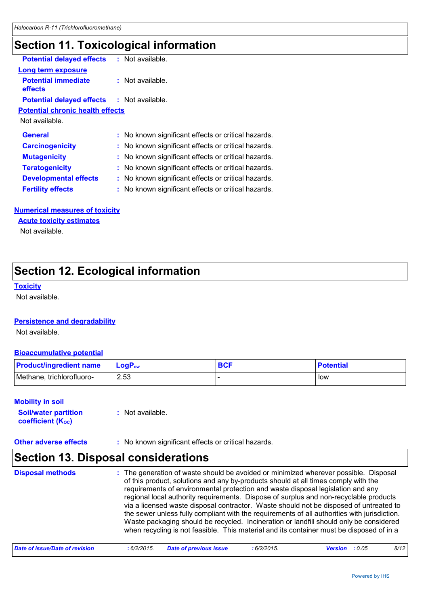# **Section 11. Toxicological information**

| <b>Potential delayed effects</b>                  | : Not available.                                    |  |
|---------------------------------------------------|-----------------------------------------------------|--|
| Long term exposure                                |                                                     |  |
| <b>Potential immediate</b><br>effects             | : Not available.                                    |  |
| <b>Potential delayed effects : Not available.</b> |                                                     |  |
| <b>Potential chronic health effects</b>           |                                                     |  |
| Not available.                                    |                                                     |  |
| <b>General</b>                                    | : No known significant effects or critical hazards. |  |
| <b>Carcinogenicity</b>                            | : No known significant effects or critical hazards. |  |
| <b>Mutagenicity</b>                               | : No known significant effects or critical hazards. |  |
| <b>Teratogenicity</b>                             | : No known significant effects or critical hazards. |  |
| <b>Developmental effects</b>                      | : No known significant effects or critical hazards. |  |
| <b>Fertility effects</b>                          | : No known significant effects or critical hazards. |  |
|                                                   |                                                     |  |

#### **Numerical measures of toxicity**

**Acute toxicity estimates**

Not available.

# **Section 12. Ecological information**

#### **Toxicity**

Not available.

#### **Persistence and degradability**

Not available.

#### **Bioaccumulative potential**

| <b>Product/ingredient name</b> | <b>LogP</b> <sub>ow</sub> | <b>BCF</b> | <b>Potential</b> |
|--------------------------------|---------------------------|------------|------------------|
| Methane, trichlorofluoro-      | 2.53                      |            | low              |

#### **Mobility in soil**

**Soil/water partition coefficient (KOC) :** Not available.

#### **Other adverse effects :** No known significant effects or critical hazards.

# **Section 13. Disposal considerations**

The generation of waste should be avoided or minimized wherever possible. Disposal of this product, solutions and any by-products should at all times comply with the requirements of environmental protection and waste disposal legislation and any regional local authority requirements. Dispose of surplus and non-recyclable products via a licensed waste disposal contractor. Waste should not be disposed of untreated to the sewer unless fully compliant with the requirements of all authorities with jurisdiction. Waste packaging should be recycled. Incineration or landfill should only be considered when recycling is not feasible. This material and its container must be disposed of in a **Disposal methods :**

| Date of issue/Date of revision | .6/2/2015. | <b>Date of previous issue</b> | $6/2/2015$ . | <b>Version</b> : 0.05 | 8/12 |
|--------------------------------|------------|-------------------------------|--------------|-----------------------|------|
|--------------------------------|------------|-------------------------------|--------------|-----------------------|------|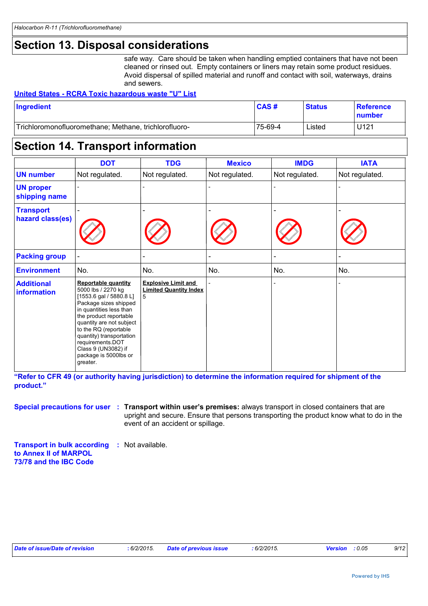### **Section 13. Disposal considerations**

safe way. Care should be taken when handling emptied containers that have not been cleaned or rinsed out. Empty containers or liners may retain some product residues. Avoid dispersal of spilled material and runoff and contact with soil, waterways, drains and sewers.

#### **United States - RCRA Toxic hazardous waste "U" List**

| Ingredient                                            | CAS#    | <b>Status</b> | <b>Reference</b><br><u>Inumber</u> |
|-------------------------------------------------------|---------|---------------|------------------------------------|
| Trichloromonofluoromethane; Methane, trichlorofluoro- | 75-69-4 | ∟isted        | U121                               |

### **Section 14. Transport information**

|                                         | <b>DOT</b>                                                                                                                                                                                                                                                                                                                   | <b>TDG</b>                                                       | <b>Mexico</b>  | <b>IMDG</b>    | <b>IATA</b>    |
|-----------------------------------------|------------------------------------------------------------------------------------------------------------------------------------------------------------------------------------------------------------------------------------------------------------------------------------------------------------------------------|------------------------------------------------------------------|----------------|----------------|----------------|
| <b>UN number</b>                        | Not regulated.                                                                                                                                                                                                                                                                                                               | Not regulated.                                                   | Not regulated. | Not regulated. | Not regulated. |
| <b>UN proper</b><br>shipping name       |                                                                                                                                                                                                                                                                                                                              |                                                                  |                |                |                |
| <b>Transport</b><br>hazard class(es)    |                                                                                                                                                                                                                                                                                                                              |                                                                  |                |                |                |
| <b>Packing group</b>                    |                                                                                                                                                                                                                                                                                                                              |                                                                  | $\blacksquare$ |                |                |
| <b>Environment</b>                      | No.                                                                                                                                                                                                                                                                                                                          | No.                                                              | No.            | No.            | No.            |
| <b>Additional</b><br><b>information</b> | <b>Reportable quantity</b><br>5000 lbs / 2270 kg<br>$[1553.6$ gal / 5880.8 L]<br>Package sizes shipped<br>in quantities less than<br>the product reportable<br>quantity are not subject<br>to the RQ (reportable<br>quantity) transportation<br>requirements.DOT<br>Class 9 (UN3082) if<br>package is 5000lbs or<br>greater. | <b>Explosive Limit and</b><br><b>Limited Quantity Index</b><br>5 |                |                |                |

**"Refer to CFR 49 (or authority having jurisdiction) to determine the information required for shipment of the product."** 

**Special precautions for user Transport within user's premises:** always transport in closed containers that are **:** upright and secure. Ensure that persons transporting the product know what to do in the event of an accident or spillage.

**Transport in bulk according :** Not available. **to Annex II of MARPOL 73/78 and the IBC Code**

| Date of issue/Date of revision | : 6/2/2015. | Date of previous issue | .6/2/2015 | : 0.05<br>Version | 9/12 |
|--------------------------------|-------------|------------------------|-----------|-------------------|------|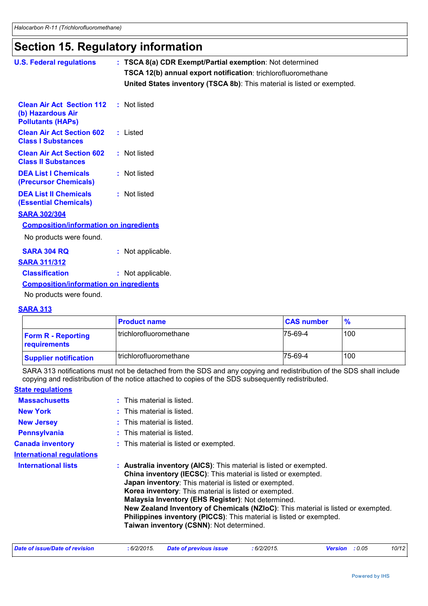# **Section 15. Regulatory information**

| <b>U.S. Federal regulations</b>                                                   | : TSCA 8(a) CDR Exempt/Partial exemption: Not determined                |
|-----------------------------------------------------------------------------------|-------------------------------------------------------------------------|
|                                                                                   | TSCA 12(b) annual export notification: trichlorofluoromethane           |
|                                                                                   | United States inventory (TSCA 8b): This material is listed or exempted. |
| <b>Clean Air Act Section 112</b><br>(b) Hazardous Air<br><b>Pollutants (HAPS)</b> | : Not listed                                                            |
| <b>Clean Air Act Section 602</b><br><b>Class I Substances</b>                     | : Listed                                                                |
| <b>Clean Air Act Section 602</b><br><b>Class II Substances</b>                    | : Not listed                                                            |
| <b>DEA List I Chemicals</b><br>(Precursor Chemicals)                              | : Not listed                                                            |
| <b>DEA List II Chemicals</b><br><b>(Essential Chemicals)</b>                      | : Not listed                                                            |
| <b>SARA 302/304</b>                                                               |                                                                         |
| <b>Composition/information on ingredients</b>                                     |                                                                         |
| No products were found.                                                           |                                                                         |
| <b>SARA 304 RQ</b>                                                                | : Not applicable.                                                       |
| <b>SARA 311/312</b>                                                               |                                                                         |
| <b>Classification</b>                                                             | : Not applicable.                                                       |
| <b>Composition/information on ingredients</b>                                     |                                                                         |
| No products were found.                                                           |                                                                         |

#### **SARA 313**

|                                           | <b>Product name</b>      | <b>CAS number</b> | $\frac{9}{6}$ |
|-------------------------------------------|--------------------------|-------------------|---------------|
| <b>Form R - Reporting</b><br>requirements | l trichlorofluoromethane | 75-69-4           | 100           |
| <b>Supplier notification</b>              | l trichlorofluoromethane | 75-69-4           | 100           |

SARA 313 notifications must not be detached from the SDS and any copying and redistribution of the SDS shall include copying and redistribution of the notice attached to copies of the SDS subsequently redistributed.

| <b>State regulations</b>         |                                                                                                                                                                                                                                                                                                                                                                                                                                                                                                                                  |
|----------------------------------|----------------------------------------------------------------------------------------------------------------------------------------------------------------------------------------------------------------------------------------------------------------------------------------------------------------------------------------------------------------------------------------------------------------------------------------------------------------------------------------------------------------------------------|
| <b>Massachusetts</b>             | $:$ This material is listed.                                                                                                                                                                                                                                                                                                                                                                                                                                                                                                     |
| <b>New York</b>                  | $:$ This material is listed.                                                                                                                                                                                                                                                                                                                                                                                                                                                                                                     |
| <b>New Jersey</b>                | $:$ This material is listed.                                                                                                                                                                                                                                                                                                                                                                                                                                                                                                     |
| <b>Pennsylvania</b>              | : This material is listed.                                                                                                                                                                                                                                                                                                                                                                                                                                                                                                       |
| <b>Canada inventory</b>          | : This material is listed or exempted.                                                                                                                                                                                                                                                                                                                                                                                                                                                                                           |
| <b>International regulations</b> |                                                                                                                                                                                                                                                                                                                                                                                                                                                                                                                                  |
| <b>International lists</b>       | : Australia inventory (AICS): This material is listed or exempted.<br><b>China inventory (IECSC):</b> This material is listed or exempted.<br>Japan inventory: This material is listed or exempted.<br>Korea inventory: This material is listed or exempted.<br>Malaysia Inventory (EHS Register): Not determined.<br>New Zealand Inventory of Chemicals (NZIoC): This material is listed or exempted.<br><b>Philippines inventory (PICCS):</b> This material is listed or exempted.<br>Taiwan inventory (CSNN): Not determined. |

| Date of issue/Date of revision<br>6/2/2015. |  | Date of previous issue | $6/2/2015$ .<br>Version | : 0.05 | 10/12 |
|---------------------------------------------|--|------------------------|-------------------------|--------|-------|
|---------------------------------------------|--|------------------------|-------------------------|--------|-------|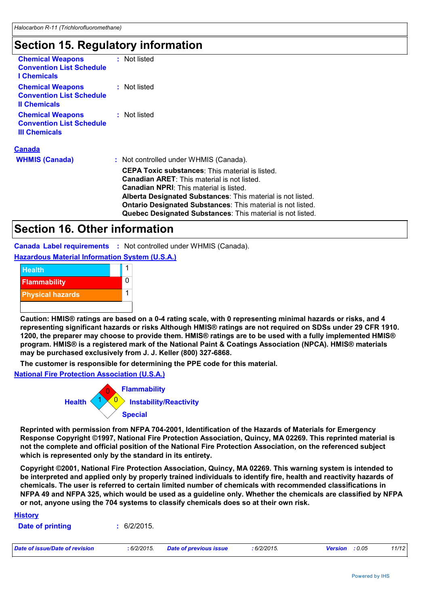# **Section 15. Regulatory information**

| <b>Chemical Weapons</b><br><b>Convention List Schedule</b><br><b>I</b> Chemicals   | : Not listed                                                                                                                                                                                                                                                                                                                                               |
|------------------------------------------------------------------------------------|------------------------------------------------------------------------------------------------------------------------------------------------------------------------------------------------------------------------------------------------------------------------------------------------------------------------------------------------------------|
| <b>Chemical Weapons</b><br><b>Convention List Schedule</b><br><b>Il Chemicals</b>  | : Not listed                                                                                                                                                                                                                                                                                                                                               |
| <b>Chemical Weapons</b><br><b>Convention List Schedule</b><br><b>III Chemicals</b> | : Not listed                                                                                                                                                                                                                                                                                                                                               |
| <b>Canada</b>                                                                      |                                                                                                                                                                                                                                                                                                                                                            |
| <b>WHMIS (Canada)</b>                                                              | : Not controlled under WHMIS (Canada).                                                                                                                                                                                                                                                                                                                     |
|                                                                                    | <b>CEPA Toxic substances:</b> This material is listed.<br>Canadian ARET: This material is not listed.<br><b>Canadian NPRI:</b> This material is listed.<br>Alberta Designated Substances: This material is not listed.<br><b>Ontario Designated Substances: This material is not listed.</b><br>Quebec Designated Substances: This material is not listed. |
|                                                                                    |                                                                                                                                                                                                                                                                                                                                                            |

### **Section 16. Other information**

**Canada Label requirements :** Not controlled under WHMIS (Canada).

**Hazardous Material Information System (U.S.A.)**



**Caution: HMIS® ratings are based on a 0-4 rating scale, with 0 representing minimal hazards or risks, and 4 representing significant hazards or risks Although HMIS® ratings are not required on SDSs under 29 CFR 1910. 1200, the preparer may choose to provide them. HMIS® ratings are to be used with a fully implemented HMIS® program. HMIS® is a registered mark of the National Paint & Coatings Association (NPCA). HMIS® materials may be purchased exclusively from J. J. Keller (800) 327-6868.**

**The customer is responsible for determining the PPE code for this material.**

**National Fire Protection Association (U.S.A.)**



**Reprinted with permission from NFPA 704-2001, Identification of the Hazards of Materials for Emergency Response Copyright ©1997, National Fire Protection Association, Quincy, MA 02269. This reprinted material is not the complete and official position of the National Fire Protection Association, on the referenced subject which is represented only by the standard in its entirety.**

**Copyright ©2001, National Fire Protection Association, Quincy, MA 02269. This warning system is intended to be interpreted and applied only by properly trained individuals to identify fire, health and reactivity hazards of chemicals. The user is referred to certain limited number of chemicals with recommended classifications in NFPA 49 and NFPA 325, which would be used as a guideline only. Whether the chemicals are classified by NFPA or not, anyone using the 704 systems to classify chemicals does so at their own risk.**

| <b>History</b>                 |            |                               |            |                       |       |
|--------------------------------|------------|-------------------------------|------------|-----------------------|-------|
| <b>Date of printing</b>        | 6/2/2015.  |                               |            |                       |       |
| Date of issue/Date of revision | :6/2/2015. | <b>Date of previous issue</b> | :6/2/2015. | <b>Version</b> : 0.05 | 11/12 |